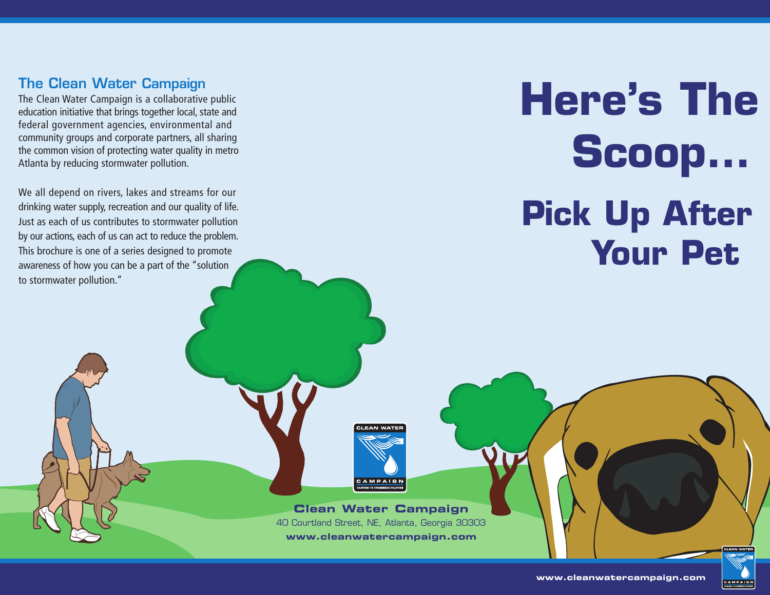#### **The Clean Water Campaign**

The Clean Water Campaign is a collaborative public education initiative that brings together local, state and federal government agencies, environmental and community groups and corporate partners, all sharing the common vision of protecting water quality in metro Atlanta by reducing stormwater pollution.

We all depend on rivers, lakes and streams for our drinking water supply, recreation and our quality of life. Just as each of us contributes to stormwater pollution by our actions, each of us can act to reduce the problem. This brochure is one of a series designed to promote awareness of how you can be a part of the "solution to stormwater pollution."

# **Here's The Scoop… Pick Up After Your Pet**

#### **Clean Water Campaign** 40 Courtland Street, NE, Atlanta, Georgia 30303 **www.cleanwatercampaign.com**